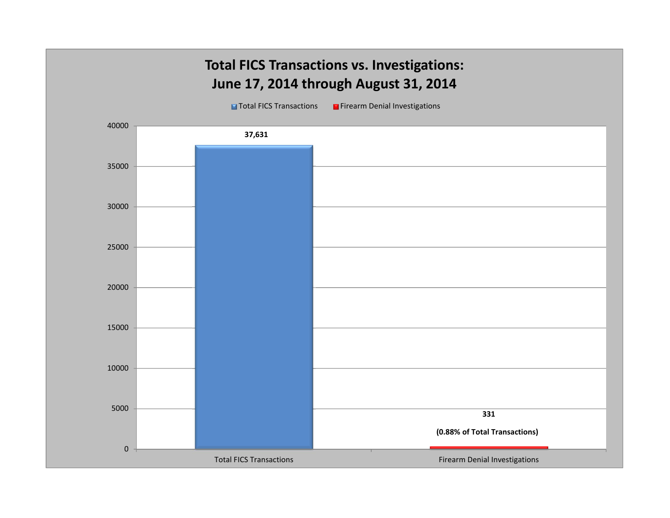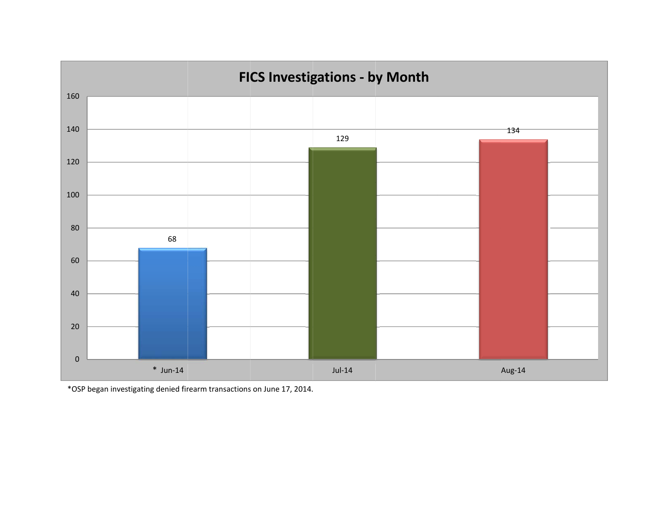

\*OSP began inve stigating denied fir earm transactions on June 17, 2014.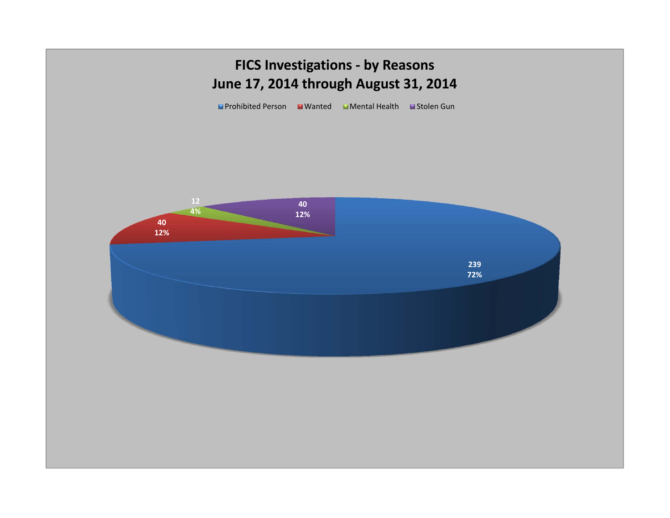## **FICS Investigations - by Reasons June 17, 2014 through August 31, 2014**

■Prohibited Person ■ Wanted ■ Mental Health ■ Stolen Gun

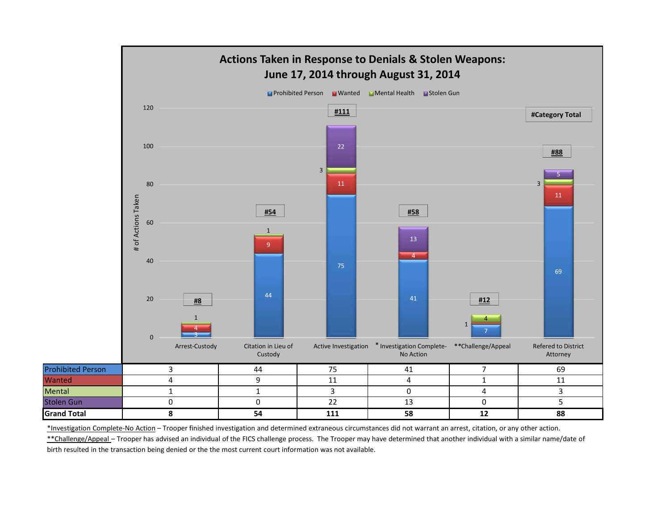

\*Investigation Complete-No Action - Trooper finished investigation and determined extraneous circumstances did not warrant an arrest, citation, or any other action.

\*\*Challenge/Appeal - Trooper has advised an individual of the FICS challenge process. The Trooper may have determined that another individual with a similar name/date of birth resulted in the transaction being denied or the the most current court information was not available.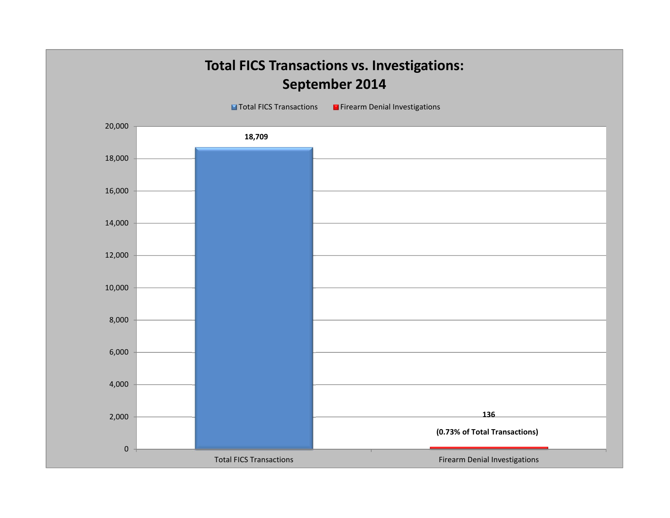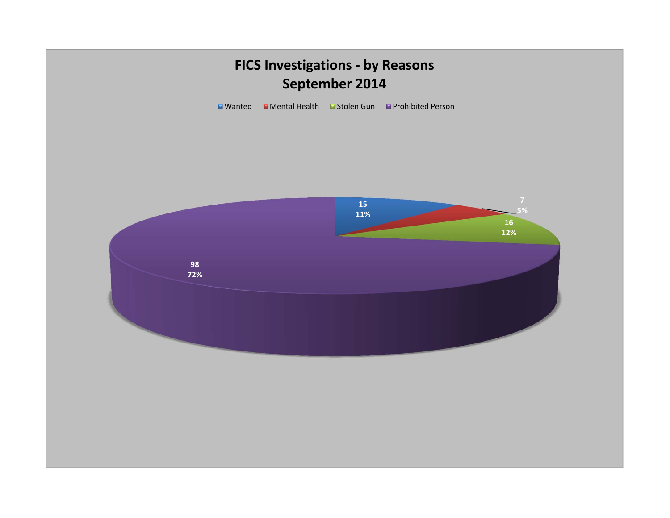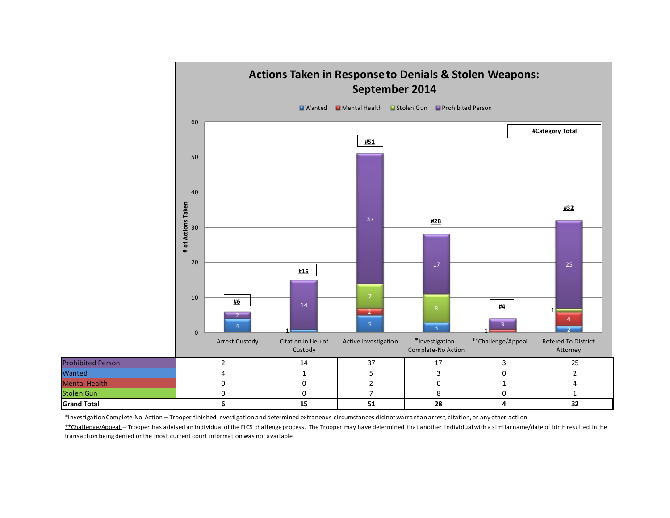

\*Investigation Complete-No Action - Trooper finished investigation and determined extraneous circumstances did not warrant an arrest, citation, or any other acti on.

\*\*Challenge/Appeal - Trooper has advised an individual of the FICS challenge process. The Trooper may have determined that another individual with a similar name/date of birth resulted in the transaction being denied or the most current court information was not available.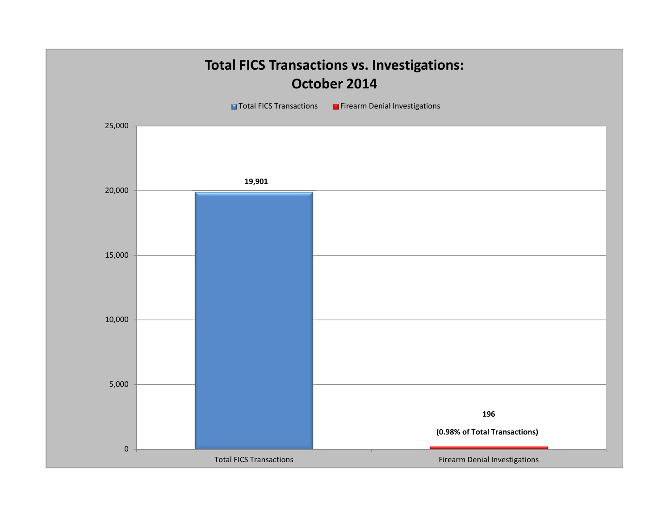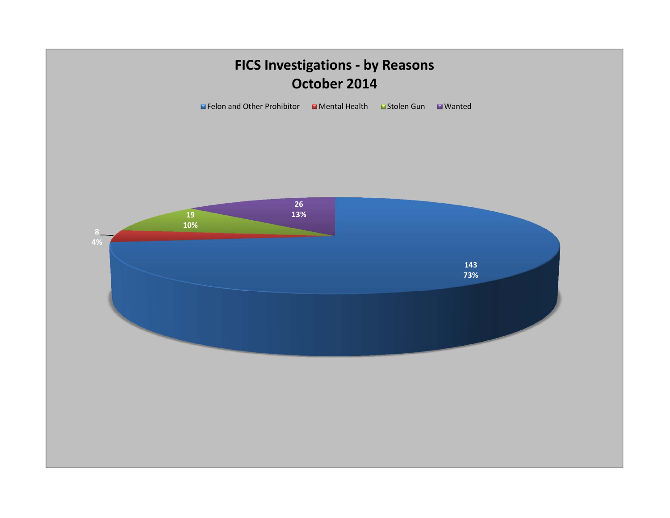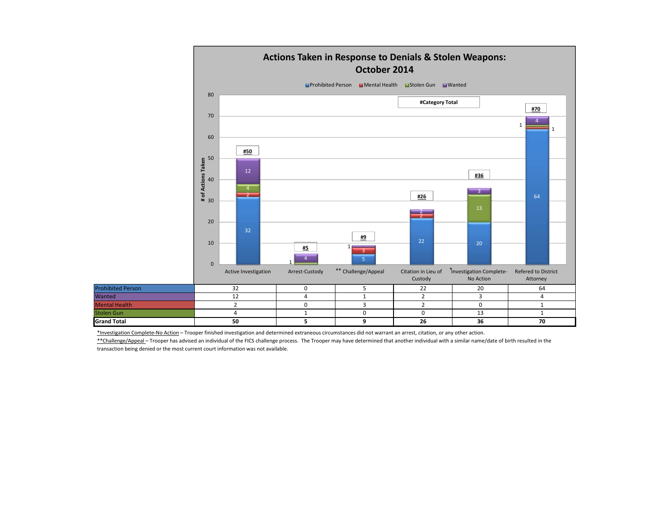

\*Investigation Complete-No Action - Trooper finished investigation and determined extraneous circumstances did not warrant an arrest, citation, or any other action.

Wanted

\*\*Challenge/Appeal - Trooper has advised an individual of the FICS challenge process. The Trooper may have determined that another individual with a similar name/date of birth resulted in the transaction being denied or the most current court information was not available.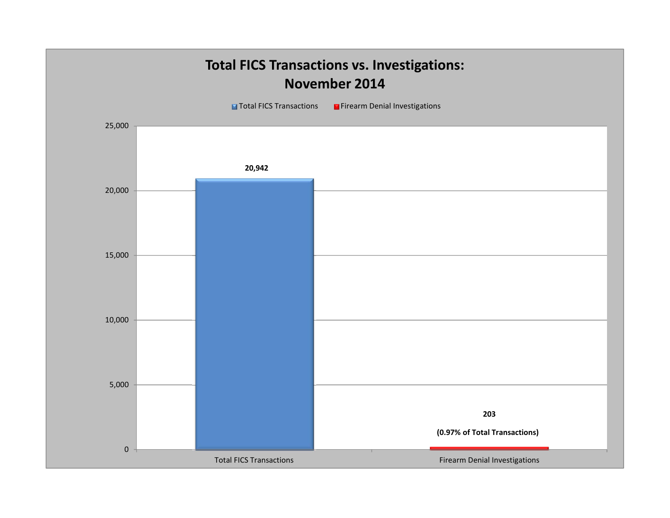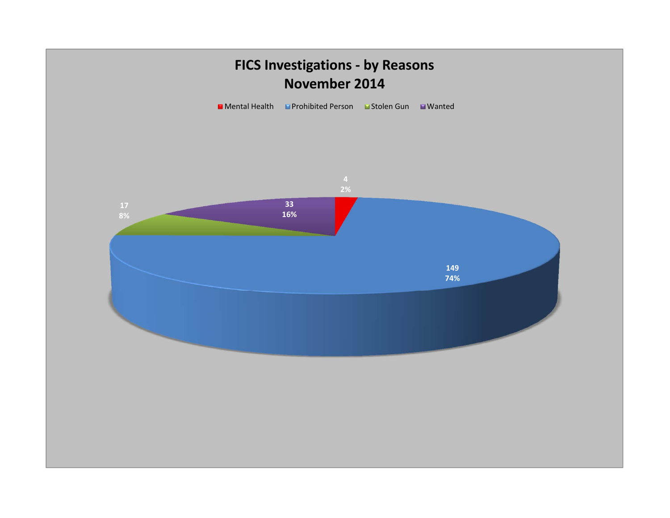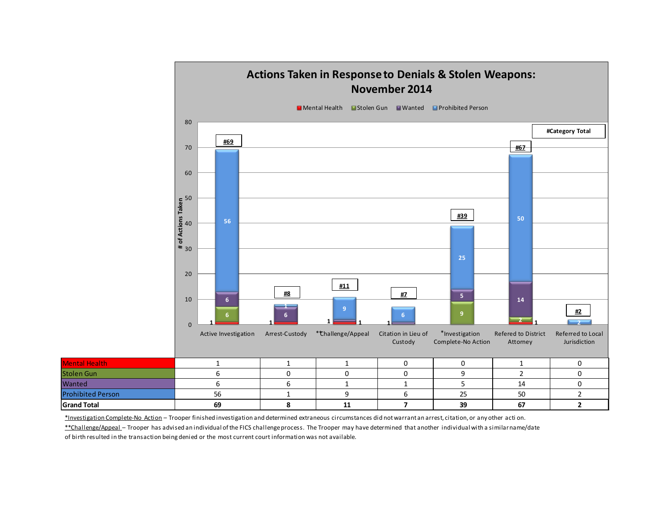

\*Investigation Complete-No Action - Trooper finished investigation and determined extraneous circumstances did not warrant an arrest, citation, or any other acti on.

\*\*Challenge/Appeal - Trooper has advised an individual of the FICS challenge process. The Trooper may have determined that another individual with a similar name/date

of birth resulted in the transaction being denied or the most current court information was not available.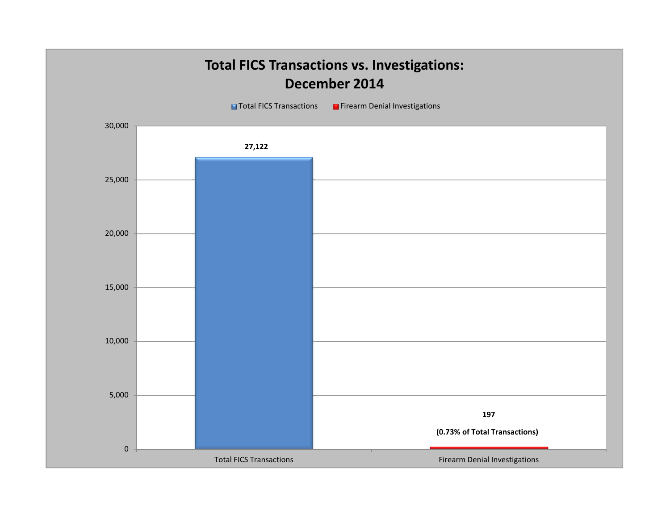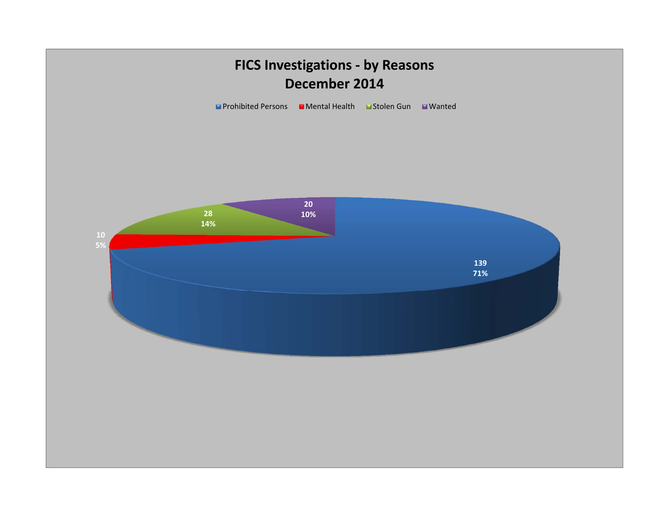